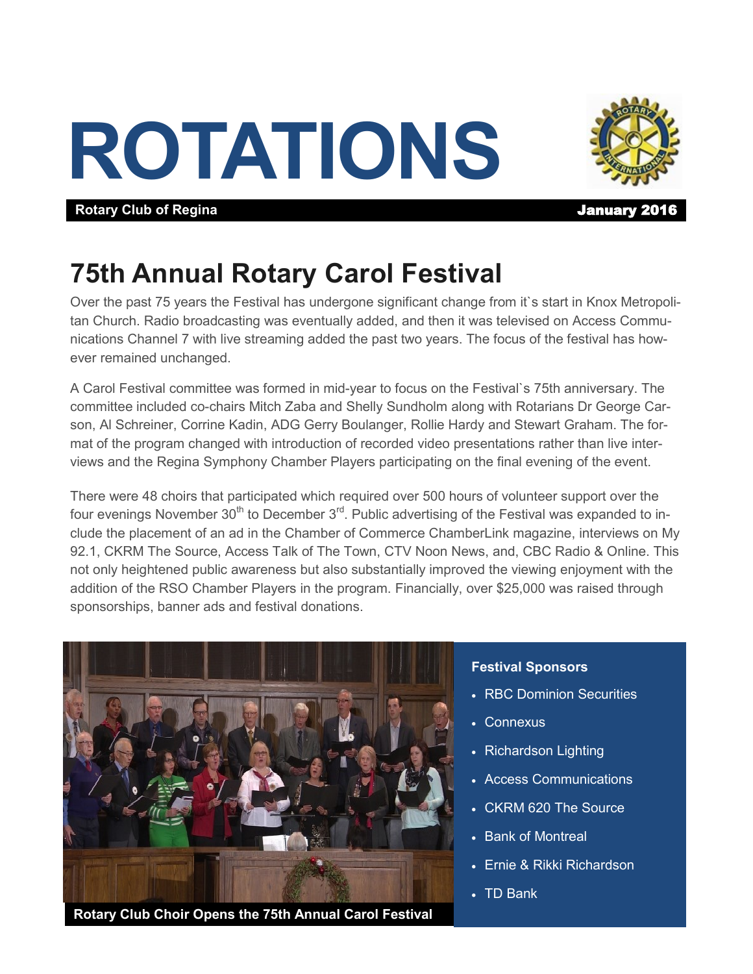# **ROTATIONS**



**Rotary Club of Regina Contract Contract Contract Contract Contract Contract Contract Contract Contract Contract Contract Contract Contract Contract Contract Contract Contract Contract Contract Contract Contract Contract** 

## **75th Annual Rotary Carol Festival**

Over the past 75 years the Festival has undergone significant change from it`s start in Knox Metropolitan Church. Radio broadcasting was eventually added, and then it was televised on Access Communications Channel 7 with live streaming added the past two years. The focus of the festival has however remained unchanged.

A Carol Festival committee was formed in mid-year to focus on the Festival`s 75th anniversary. The committee included co-chairs Mitch Zaba and Shelly Sundholm along with Rotarians Dr George Carson, Al Schreiner, Corrine Kadin, ADG Gerry Boulanger, Rollie Hardy and Stewart Graham. The format of the program changed with introduction of recorded video presentations rather than live interviews and the Regina Symphony Chamber Players participating on the final evening of the event.

There were 48 choirs that participated which required over 500 hours of volunteer support over the four evenings November  $30<sup>th</sup>$  to December  $3<sup>rd</sup>$ . Public advertising of the Festival was expanded to include the placement of an ad in the Chamber of Commerce ChamberLink magazine, interviews on My 92.1, CKRM The Source, Access Talk of The Town, CTV Noon News, and, CBC Radio & Online. This not only heightened public awareness but also substantially improved the viewing enjoyment with the addition of the RSO Chamber Players in the program. Financially, over \$25,000 was raised through sponsorships, banner ads and festival donations.



#### **Festival Sponsors**

- RBC Dominion Securities
- Connexus
- Richardson Lighting
- Access Communications
- CKRM 620 The Source
- Bank of Montreal
- Ernie & Rikki Richardson
- TD Bank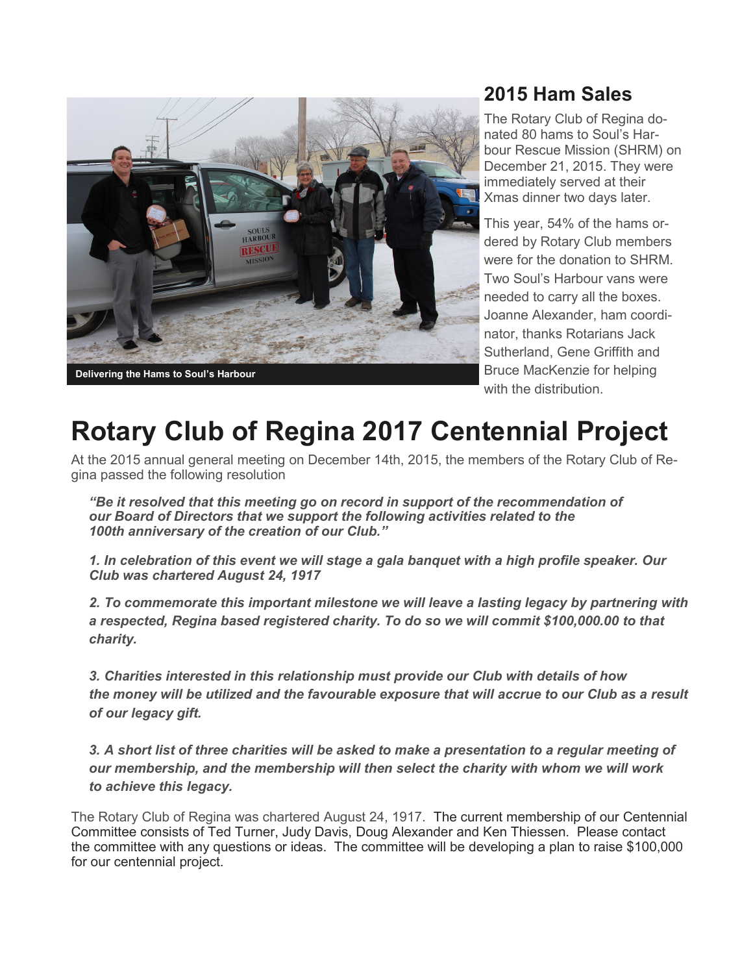

### **2015 Ham Sales**

The Rotary Club of Regina donated 80 hams to Soul's Harbour Rescue Mission (SHRM) on December 21, 2015. They were immediately served at their Xmas dinner two days later.

This year, 54% of the hams ordered by Rotary Club members were for the donation to SHRM. Two Soul's Harbour vans were needed to carry all the boxes. Joanne Alexander, ham coordinator, thanks Rotarians Jack Sutherland, Gene Griffith and Bruce MacKenzie for helping with the distribution.

## **Rotary Club of Regina 2017 Centennial Project**

At the 2015 annual general meeting on December 14th, 2015, the members of the Rotary Club of Regina passed the following resolution

*"Be it resolved that this meeting go on record in support of the recommendation of our Board of Directors that we support the following activities related to the 100th anniversary of the creation of our Club."*

*1. In celebration of this event we will stage a gala banquet with a high profile speaker. Our Club was chartered August 24, 1917*

*2. To commemorate this important milestone we will leave a lasting legacy by partnering with a respected, Regina based registered charity. To do so we will commit \$100,000.00 to that charity.*

*3. Charities interested in this relationship must provide our Club with details of how the money will be utilized and the favourable exposure that will accrue to our Club as a result of our legacy gift.*

*3. A short list of three charities will be asked to make a presentation to a regular meeting of our membership, and the membership will then select the charity with whom we will work to achieve this legacy.*

The Rotary Club of Regina was chartered August 24, 1917. The current membership of our Centennial Committee consists of Ted Turner, Judy Davis, Doug Alexander and Ken Thiessen. Please contact the committee with any questions or ideas. The committee will be developing a plan to raise \$100,000 for our centennial project.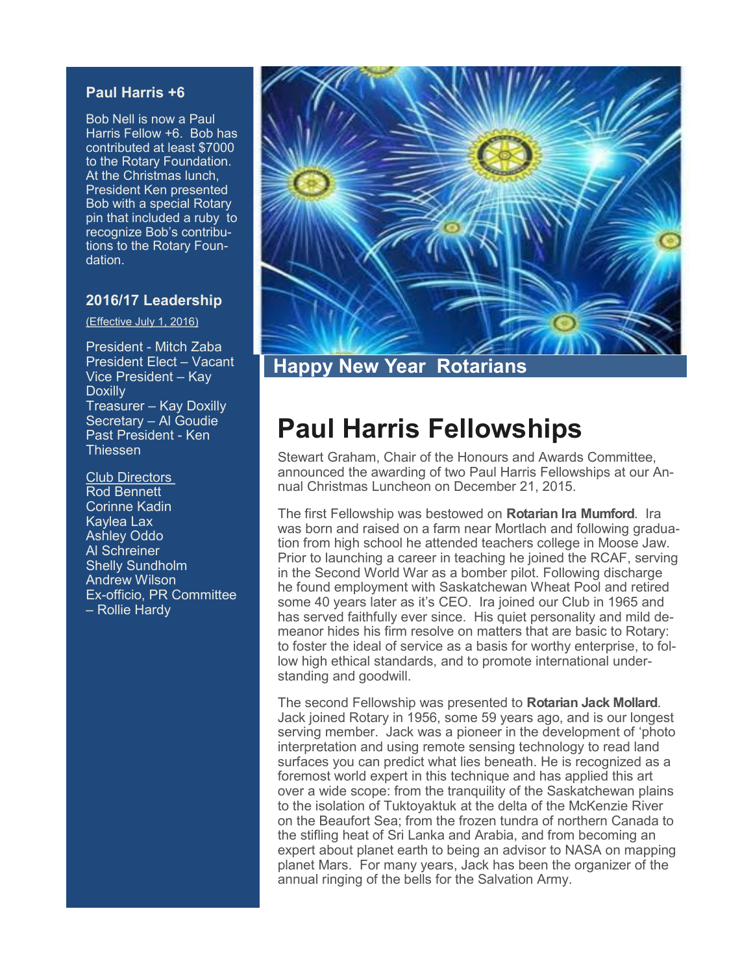#### **Paul Harris +6**

Bob Nell is now a Paul Harris Fellow +6. Bob has contributed at least \$7000 to the Rotary Foundation. At the Christmas lunch, President Ken presented Bob with a special Rotary pin that included a ruby to recognize Bob's contributions to the Rotary Foundation.

#### **2016/17 Leadership**

(Effective July 1, 2016)

President - Mitch Zaba President Elect – Vacant Vice President – Kay **Doxilly** Treasurer – Kay Doxilly Secretary – Al Goudie Past President - Ken **Thiessen** 

Club Directors Rod Bennett Corinne Kadin Kaylea Lax Ashley Oddo Al Schreiner Shelly Sundholm Andrew Wilson Ex-officio, PR Committee – Rollie Hardy



**Happy New Year Rotarians**

## **Paul Harris Fellowships**

Stewart Graham, Chair of the Honours and Awards Committee, announced the awarding of two Paul Harris Fellowships at our Annual Christmas Luncheon on December 21, 2015.

The first Fellowship was bestowed on **Rotarian Ira Mumford**. Ira was born and raised on a farm near Mortlach and following graduation from high school he attended teachers college in Moose Jaw. Prior to launching a career in teaching he joined the RCAF, serving in the Second World War as a bomber pilot. Following discharge he found employment with Saskatchewan Wheat Pool and retired some 40 years later as it's CEO. Ira joined our Club in 1965 and has served faithfully ever since. His quiet personality and mild demeanor hides his firm resolve on matters that are basic to Rotary: to foster the ideal of service as a basis for worthy enterprise, to follow high ethical standards, and to promote international understanding and goodwill.

The second Fellowship was presented to **Rotarian Jack Mollard**. Jack joined Rotary in 1956, some 59 years ago, and is our longest serving member. Jack was a pioneer in the development of 'photo interpretation and using remote sensing technology to read land surfaces you can predict what lies beneath. He is recognized as a foremost world expert in this technique and has applied this art over a wide scope: from the tranquility of the Saskatchewan plains to the isolation of Tuktoyaktuk at the delta of the McKenzie River on the Beaufort Sea; from the frozen tundra of northern Canada to the stifling heat of Sri Lanka and Arabia, and from becoming an expert about planet earth to being an advisor to NASA on mapping planet Mars. For many years, Jack has been the organizer of the annual ringing of the bells for the Salvation Army.